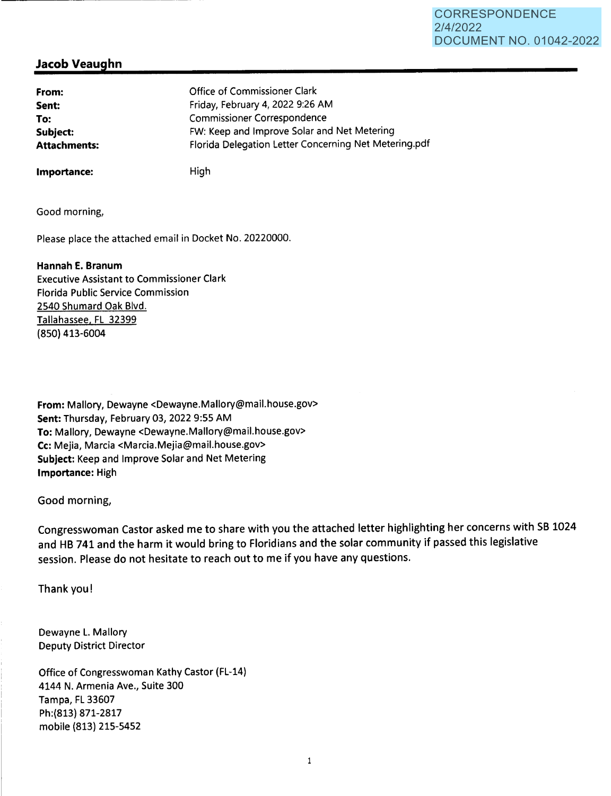# **Jacob Veaughn**

| From:               | Office of Commissioner Clark                          |
|---------------------|-------------------------------------------------------|
| Sent:               | Friday, February 4, 2022 9:26 AM                      |
| To:                 | <b>Commissioner Correspondence</b>                    |
| Subject:            | FW: Keep and Improve Solar and Net Metering           |
| <b>Attachments:</b> | Florida Delegation Letter Concerning Net Metering.pdf |

**Importance:** 

High

Good morning,

Please place the attached email in Docket No. 20220000.

## **Hannah E. Branum**

Executive Assistant to Commissioner Clark Florida Public Service Commission 2540 Shumard Oak Blvd. Tallahassee. FL 32399 (850) 413-6004

**From:** Mallory, Dewayne <Dewayne.Mallory@mail.house.gov> **Sent:** Thursday, February 03, 2022 9:55 AM **To:** Mallory, Dewayne <Dewayne.Mallory@mail.house.gov> **Cc:** Mejia, Marcia <Marcia.Mejia@mail.house.gov> **Subject:** Keep and Improve Solar and Net Metering **Importance:** High

Good morning,

Congresswoman Castor asked me to share with you the attached letter highlighting her concerns with SB 1024 and HB 741 and the harm it would bring to Floridians and the solar community if passed this legislative session. Please do not hesitate to reach out to me if you have any questions.

Thank you!

Dewayne L. Mallory Deputy District Director

Office of Congresswoman Kathy Castor (FL-14) 4144 N. Armenia Ave., Suite 300 Tampa, FL 33607 Ph:(813) 871-2817 mobile (813) 215-5452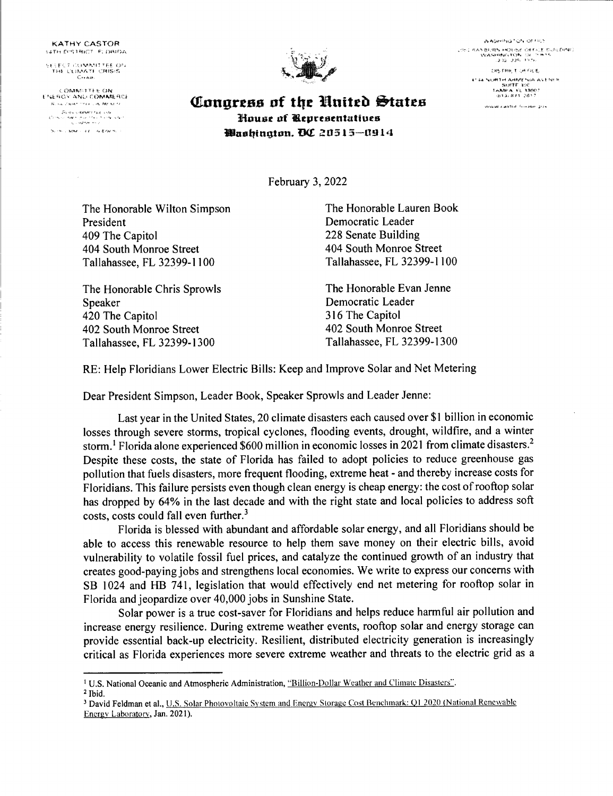KA THY CASTOR 14TH DISTRICT. FLORIDA

\:t ~ f"<. '7 1·,;\_,V!l. .. ~!1' 1'f.£: l HQ> l'll1'~-,r.. Tl CftiSi~t

COMMITTEE ON<br>ENERGY AND COMMERCE .<br>Si ini lame i 17 - 4 Kovin.



**AASHING** SN OFFICE ትር ሜዳን ወሀብት ተለጋህቷል ወዘ የአርቲ ወሀብር በጥበጋ<br>- የአንዳንጫትል የአንዱ (SETEMPS)<br>- 2 22 - 225 - የፕሮክ **CASTRET CHECKE** www.castia.hunzer.grzy

<sup>l</sup>~--c.~c-" .-\'NL! rO .. itA"'-ti;.f{CJ- **<!LongrtJJs of tltc Bnittb t,int.es Jfoust nf lltpresentaUue:s**  *Washinaton. DC 20515-0914* 

February 3, 2022

The Honorable Wilton Simpson President 409 The Capitol 404 South Monroe Street Tallahassee, FL 32399-l l 00

The Honorable Chris Sprowls Speaker 420 The Capitol 402 South Monroe Street Tallahassee, FL 32399-1300

The Honorable Lauren Book Democratic Leader 228 Senate Building 404 South Monroe Street Tallahassee, FL 32399-1100

The Honorable Evan Jenne Democratic Leader 316 The Capitol 402 South Monroe Street Tallahassee, FL 32399-1300

RE: Help Floridians Lower Electric Bills: Keep and Improve Solar and Net Metering

Dear President Simpson, Leader Book, Speaker Sprowls and Leader Jenne:

Last year in the United States, 20 climate disasters each caused over \$1 billion in economic losses through severe storms, tropical cyclones, flooding events, drought, wildfire, and a winter storm.<sup>1</sup> Florida alone experienced \$600 million in economic losses in 2021 from climate disasters.<sup>2</sup> Despite these costs, the state of Florida has failed to adopt policies to reduce greenhouse gas pollution that fuels disasters, more frequent flooding, extreme heat - and thereby increase costs for Floridians. This failure persists even though clean energy is cheap energy: the cost of rooftop solar has dropped by 64% in the last decade and with the right state and local policies to address soft costs, costs could fall even further.<sup>3</sup>

Florida is blessed with abundant and affordable solar energy, and all Floridians should be able to access this renewable resource to help them save money on their electric bills, avoid vulnerability to volatile fossil fuel prices, and catalyze the continued growth of an industry that creates good-paying jobs and strengthens local economies. We write to express our concerns with SB 1024 and HB 741, legislation that would effectively end net metering for rooftop solar in Florida and jeopardize over 40,000 jobs in Sunshine State.

Solar power is a true cost-saver for Floridians and helps reduce harmful air pollution and increase energy resilience. During extreme weather events, rooftop solar and energy storage can provide essential back-up electricity. Resilient, distributed electricity generation is increasingly critical as Florida experiences more severe extreme weather and threats to the electric grid as <sup>a</sup>

<sup>&</sup>lt;sup>1</sup> U.S. National Oceanic and Atmospheric Administration, "Billion-Dollar Weather and Climate Disasters".

<sup>2</sup>Ibid.

<sup>&</sup>lt;sup>3</sup> David Feldman et al., U.S. Solar Photovoltaic System and Encrgy Storage Cost Benchmark: Q1 2020 (National Renewable Encrgv Laboratory. Jan. 2021).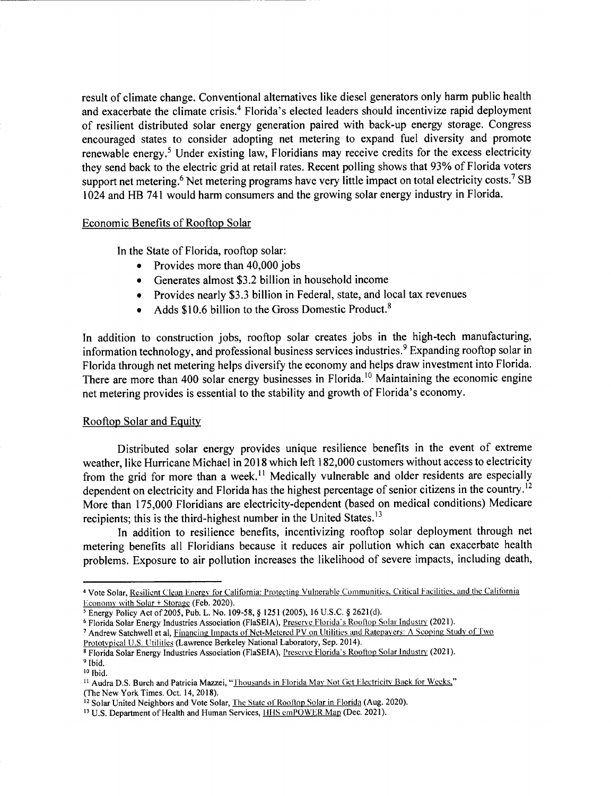result of climate change. Conventional alternatives like diesel generators only harm public health and exacerbate the climate crisis.<sup>4</sup> Florida's elected leaders should incentivize rapid deployment of resilient distributed solar energy generation paired with back-up energy storage. Congress encouraged states to consider adopting net metering to expand fuel diversity and promote renewable energy.<sup>5</sup> Under existing law, Floridians may receive credits for the excess electricity they send back to the electric grid at retail rates. Recent polling shows that 93% of Florida voters support net metering.<sup>6</sup> Net metering programs have very little impact on total electricity costs.<sup>7</sup> SB 1024 and HB 741 would harm consumers and the growing solar energy industry in Florida.

#### Economic Benefits of Rooftop Solar

In the State of Florida, rooftop solar:

- Provides more than 40,000 jobs
- Generates almost \$3.2 billion in household income
- Provides nearly \$3.3 billion in Federal, state, and local tax revenues
- Adds \$10.6 billion to the Gross Domestic Product.<sup>8</sup>

In addition to construction jobs, rooftop solar creates jobs in the high-tech manufacturing, information technology, and professional business services industries.<sup>9</sup> Expanding rooftop solar in Florida through net metering helps diversify the economy and helps draw investment into Florida. There are more than 400 solar energy businesses in Florida.<sup>10</sup> Maintaining the economic engine net metering provides is essential to the stability and growth of Florida's economy.

### Rooftop Solar and Equity

Distributed solar energy provides unique resilience benefits in the event of extreme weather, like Hurricane Michael in 2018 which left 182,000 customers without access to electricity from the grid for more than a week.<sup>11</sup> Medically vulnerable and older residents are especially dependent on electricity and Florida has the highest percentage of senior citizens in the country.<sup>12</sup> More than 175,000 Floridians are electricity-dependent (based on medical conditions) Medicare recipients; this is the third-highest number in the United States.<sup>13</sup>

In addition to resilience benefits, incentivizing rooftop solar deployment through net metering benefits all Floridians because it reduces air pollution which can exacerbate health problems. Exposure to air pollution increases the likelihood of severe impacts, including death,

<sup>&</sup>lt;sup>4</sup> Vote Solar, Resilient Clean Energy for California: Protecting Vulnerable Communities, Critical Facilities, and the California Economy with Solar + Storage (Feb. 2020).

*<sup>5</sup>*Energy Policy Act of 2005, Pub. L. No. 109-58, *§* 1251 (2005), 16 U.S.C. *§* 262l(d).

<sup>&</sup>lt;sup>6</sup> Florida Solar Energy Industries Association (FlaSEIA), Preserve Florida's Rooftop Solar Industry (2021).

<sup>&</sup>lt;sup>7</sup> Andrew Satchwell et al, Financing Impacts of Net-Metered PV on Utilities and Ratepayers: A Scoping Study of Two Prototvpical U.S. Utilities (Lawrence Berkeley National Laboratory, Sep. 2014).

<sup>&</sup>lt;sup>8</sup> Florida Solar Energy Industries Association (FlaSEIA), Preserve Florida's Rooftop Solar Industry (2021).

<sup>&</sup>lt;sup>9</sup> Ibid.

 $10$   $\text{Hid}$ .

<sup>&</sup>lt;sup>11</sup> Audra D.S. Burch and Patricia Mazzei, "Thousands in Florida May Not Get Electricity Back for Weeks," (The New York Times. Oct. 14, 2018).

<sup>&</sup>lt;sup>12</sup> Solar United Neighbors and Vote Solar, The State of Rooftop Solar in Florida (Aug. 2020).

<sup>&</sup>lt;sup>13</sup> U.S. Department of Health and Human Services, **HHS emPOWER Map** (Dec. 2021).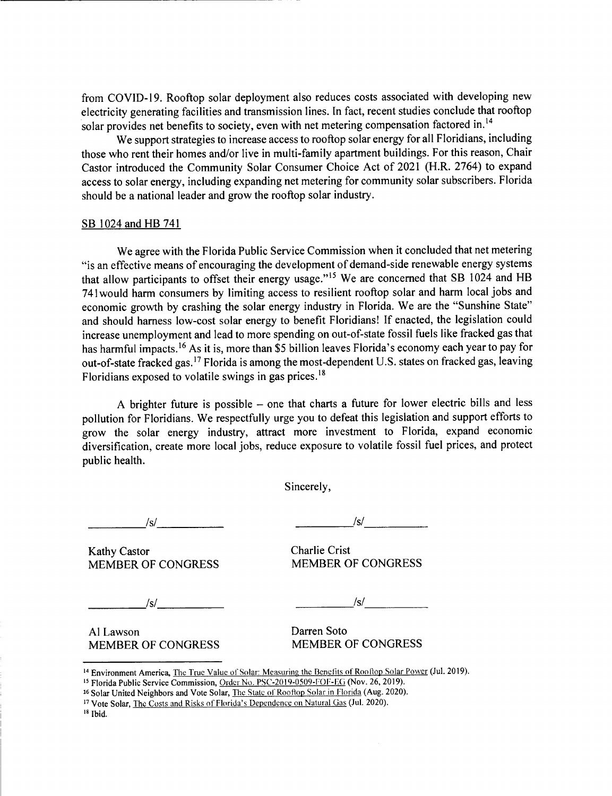from COVID-19. Rooftop solar deployment also reduces costs associated with developing new electricity generating facilities and transmission lines. In fact, recent studies conclude that rooftop solar provides net benefits to society, even with net metering compensation factored in.<sup>14</sup>

We support strategies to increase access to rooftop solar energy for all Floridians, including those who rent their homes and/or live in multi-family apartment buildings. For this reason, Chair Castor introduced the Community Solar Consumer Choice Act of 2021 (H.R. 2764) to expand access to solar energy, including expanding net metering for community solar subscribers. Florida should be a national leader and grow the rooftop solar industry.

#### SB 1024 and HB 741

We agree with the Florida Public Service Commission when it concluded that net metering "is an effective means of encouraging the development of demand-side renewable energy systems that allow participants to offset their energy usage."<sup>15</sup> We are concerned that SB 1024 and HB <sup>741</sup>would harm consumers by limiting access to resilient rooftop solar and harm local jobs and economic growth by crashing the solar energy industry in Florida. We are the "Sunshine State" and should harness low-cost solar energy to benefit Floridians! If enacted, the legislation could increase unemployment and lead to more spending on out-of-state fossil fuels like fracked gas that has harmful impacts.<sup>16</sup> As it is, more than \$5 billion leaves Florida's economy each year to pay for out-of-state fracked gas.<sup>17</sup> Florida is among the most-dependent U.S. states on fracked gas, leaving Floridians exposed to volatile swings in gas prices.<sup>18</sup>

A brighter future is possible  $-$  one that charts a future for lower electric bills and less pollution for Floridians. We respectfully urge you to defeat this legislation and support efforts to grow the solar energy industry, attract more investment to Florida, expand economic diversification, create more local jobs, reduce exposure to volatile fossil fuel prices, and protect public health.

Sincerely,

\_\_\_\_ \_; *Isl* ------ *\_\_\_\_ \_:Isl \_\_\_\_ \_* 

Kathy Castor Charlie Crist<br>
MEMBER OF CONGRESS
MEMBER OF CONGRESS MEMBER OF CONGRESS

*Isl* -----· ------ \_\_\_\_ \_; *Isl* ------

Al Lawson Darren Soto MEMBER OF CONGRESS MEMBER OF CONGRESS

<sup>14</sup> Environment America, The True Value of Solar: Measuring the Benefits of Rooftop Solar Power (Jul. 2019).

<sup>15</sup> Florida Public Service Commission, Order No. PSC-2019-0509-FOF-EG (Nov. 26, 2019).

<sup>16</sup> Solar United Neighbors and Vote Solar, The State of Rooftop Solar in Florida (Aug. 2020).

<sup>17</sup> Vote Solar, The Costs and Risks of Florida's Dependence on Natural Gas (Jul. 2020).

<sup>18</sup> Ibid.